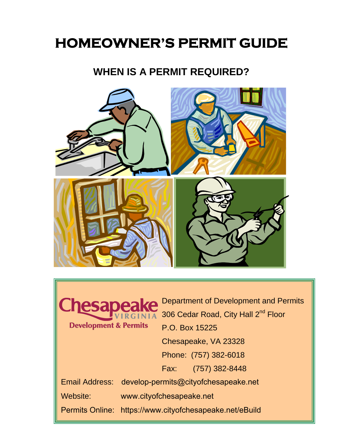# **HOMEOWNER'S PERMIT GUIDE**

## **WHEN IS A PERMIT REQUIRED?**





Department of Development and Permits 306 Cedar Road, City Hall 2<sup>nd</sup> Floor P.O. Box 15225 Chesapeake, VA 23328 Phone: (757) 382-6018 Fax: (757) 382-8448 Email Address: [develop-permits@cityofchesapeake.net](mailto:develop-permits@cityofchesapeake.net) Website: www.cityofchesapeake.net

Permits Online: https://www.cityofchesapeake.net/eBuild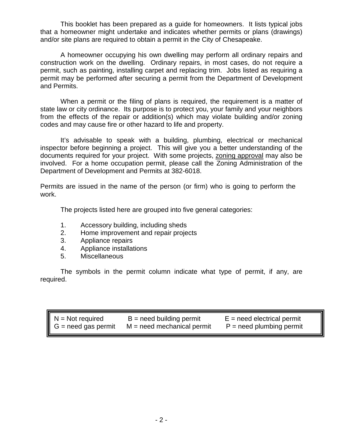This booklet has been prepared as a guide for homeowners. It lists typical jobs that a homeowner might undertake and indicates whether permits or plans (drawings) and/or site plans are required to obtain a permit in the City of Chesapeake.

A homeowner occupying his own dwelling may perform all ordinary repairs and construction work on the dwelling. Ordinary repairs, in most cases, do not require a permit, such as painting, installing carpet and replacing trim. Jobs listed as requiring a permit may be performed after securing a permit from the Department of Development and Permits.

When a permit or the filing of plans is required, the requirement is a matter of state law or city ordinance. Its purpose is to protect you, your family and your neighbors from the effects of the repair or addition(s) which may violate building and/or zoning codes and may cause fire or other hazard to life and property.

It's advisable to speak with a building, plumbing, electrical or mechanical inspector before beginning a project. This will give you a better understanding of the documents required for your project. With some projects, zoning approval may also be involved. For a home occupation permit, please call the Zoning Administration of the Department of Development and Permits at 382-6018.

Permits are issued in the name of the person (or firm) who is going to perform the work.

The projects listed here are grouped into five general categories:

- 1. Accessory building, including sheds
- 2. Home improvement and repair projects
- 3. Appliance repairs
- 4. Appliance installations
- 5. Miscellaneous

The symbols in the permit column indicate what type of permit, if any, are required.

| $N = Not required$<br>$G = need gas permit$ | $B = need building permit$<br>$M = need mechanical$ permit | $E$ = need electrical permit<br>$P = need$ plumbing permit |
|---------------------------------------------|------------------------------------------------------------|------------------------------------------------------------|
|                                             |                                                            |                                                            |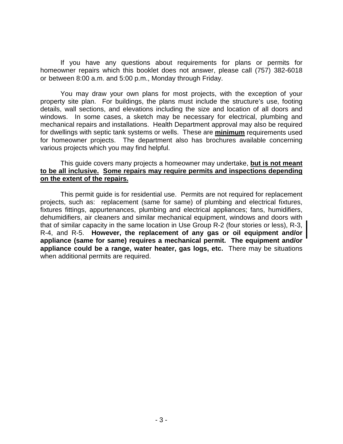If you have any questions about requirements for plans or permits for homeowner repairs which this booklet does not answer, please call (757) 382-6018 or between 8:00 a.m. and 5:00 p.m., Monday through Friday.

You may draw your own plans for most projects, with the exception of your property site plan. For buildings, the plans must include the structure's use, footing details, wall sections, and elevations including the size and location of all doors and windows. In some cases, a sketch may be necessary for electrical, plumbing and mechanical repairs and installations. Health Department approval may also be required for dwellings with septic tank systems or wells. These are **minimum** requirements used for homeowner projects. The department also has brochures available concerning various projects which you may find helpful.

#### This guide covers many projects a homeowner may undertake, **but is not meant to be all inclusive. Some repairs may require permits and inspections depending on the extent of the repairs.**

This permit guide is for residential use. Permits are not required for replacement projects, such as: replacement (same for same) of plumbing and electrical fixtures, fixtures fittings, appurtenances, plumbing and electrical appliances; fans, humidifiers, dehumidifiers, air cleaners and similar mechanical equipment, windows and doors with that of similar capacity in the same location in Use Group R-2 (four stories or less), R-3, R-4, and R-5. **However, the replacement of any gas or oil equipment and/or appliance (same for same) requires a mechanical permit. The equipment and/or appliance could be a range, water heater, gas logs, etc.** There may be situations when additional permits are required.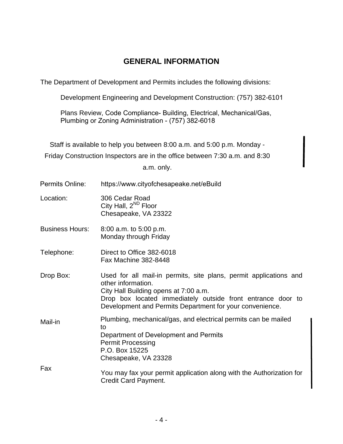### **GENERAL INFORMATION**

The Department of Development and Permits includes the following divisions:

Development Engineering and Development Construction: (757) 382-6101

Plans Review, Code Compliance- Building, Electrical, Mechanical/Gas, Plumbing or Zoning Administration - (757) 382-6018

Staff is available to help you between 8:00 a.m. and 5:00 p.m. Monday -

Friday Construction Inspectors are in the office between 7:30 a.m. and 8:30

a.m. only.

| Permits Online:        | https://www.cityofchesapeake.net/eBuild                                                                                                                                                                                                                     |
|------------------------|-------------------------------------------------------------------------------------------------------------------------------------------------------------------------------------------------------------------------------------------------------------|
| Location:              | 306 Cedar Road<br>City Hall, 2 <sup>ND</sup> Floor<br>Chesapeake, VA 23322                                                                                                                                                                                  |
| <b>Business Hours:</b> | $8:00$ a.m. to $5:00$ p.m.<br>Monday through Friday                                                                                                                                                                                                         |
| Telephone:             | Direct to Office 382-6018<br><b>Fax Machine 382-8448</b>                                                                                                                                                                                                    |
| Drop Box:              | Used for all mail-in permits, site plans, permit applications and<br>other information.<br>City Hall Building opens at 7:00 a.m.<br>Drop box located immediately outside front entrance door to<br>Development and Permits Department for your convenience. |
| Mail-in                | Plumbing, mechanical/gas, and electrical permits can be mailed<br>to<br>Department of Development and Permits<br><b>Permit Processing</b><br>P.O. Box 15225<br>Chesapeake, VA 23328                                                                         |
| Fax                    | You may fax your permit application along with the Authorization for<br><b>Credit Card Payment.</b>                                                                                                                                                         |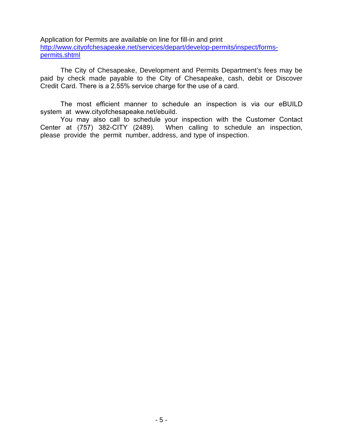Application for Permits are available on line for fill-in and print [http://www.cityofchesapeake.net/services/depart/develop-permits/inspect/forms](http://www.cityofchesapeake.net/services/depart/develop-permits/inspect/forms-permits.shtml)[permits.shtml](http://www.cityofchesapeake.net/services/depart/develop-permits/inspect/forms-permits.shtml)

The City of Chesapeake, Development and Permits Department's fees may be paid by check made payable to the City of Chesapeake, cash, debit or Discover Credit Card. There is a 2.55% service charge for the use of a card.

The most efficient manner to schedule an inspection is via our eBUILD system at www.cityofchesapeake.net/ebuild.

You may also call to schedule your inspection with the Customer [Contact](mailto:develop-permits@cityofchesapeake.net)  [Center at \(757\) 382-CITY \(](mailto:develop-permits@cityofchesapeake.net)2489). When calling to schedule an inspection, please provide the permit number, address, and type of inspection.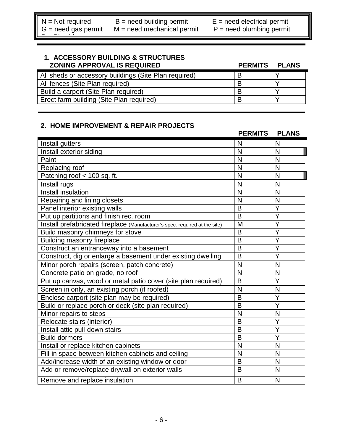<u>Personal proposed by the proposed by the proposed by the proposed by the proposed by the proposed by the proposed by the proposed by the proposed by the proposed by the proposed by  $P$ </u>

N = Not required B = need building permit B = need electrical permit

 $G$  = need gas permit  $M$  = need mechanical permit  $P$  = need plumbing permit

#### **1. ACCESSORY BUILDING & STRUCTURES ZONING APPROVAL IS REQUIRED PERMITS PLANS**

| <b><i>LUNING AFFROVAL IS REQUIRED</i></b>             | <b>FLNMID</b> | <b>FLAND</b> |
|-------------------------------------------------------|---------------|--------------|
| All sheds or accessory buildings (Site Plan required) |               |              |
| All fences (Site Plan required)                       |               |              |
| Build a carport (Site Plan required)                  |               |              |
| Erect farm building (Site Plan required)              |               |              |
|                                                       |               |              |

#### **2. HOME IMPROVEMENT & REPAIR PROJECTS**

|                                                                             | <b>PERMITS</b> | <b>PLANS</b>            |
|-----------------------------------------------------------------------------|----------------|-------------------------|
| Install gutters                                                             | N              | N                       |
| Install exterior siding                                                     | N              | N                       |
| Paint                                                                       | N              | N                       |
| Replacing roof                                                              | N              | $\mathsf{N}$            |
| Patching roof < 100 sq. ft.                                                 | N              | N                       |
| Install rugs                                                                | N              | N                       |
| <b>Install insulation</b>                                                   | N              | N                       |
| Repairing and lining closets                                                | N              | N                       |
| Panel interior existing walls                                               | B              | Ÿ                       |
| Put up partitions and finish rec. room                                      | B              | Y                       |
| Install prefabricated fireplace (Manufacturer's spec. required at the site) | M              | Y                       |
| Build masonry chimneys for stove                                            | B              | $\overline{\mathsf{Y}}$ |
| <b>Building masonry fireplace</b>                                           | B              | Y                       |
| Construct an entranceway into a basement                                    | $\overline{B}$ | Ÿ                       |
| Construct, dig or enlarge a basement under existing dwelling                | $\overline{B}$ | $\overline{\mathsf{Y}}$ |
| Minor porch repairs (screen, patch concrete)                                | N              | N                       |
| Concrete patio on grade, no roof                                            | N              | N                       |
| Put up canvas, wood or metal patio cover (site plan required)               | B              | Y                       |
| Screen in only, an existing porch (if roofed)                               | N              | N                       |
| Enclose carport (site plan may be required)                                 | B              | Ÿ                       |
| Build or replace porch or deck (site plan required)                         | B              | Y                       |
| Minor repairs to steps                                                      | N              | N                       |
| Relocate stairs (interior)                                                  | B              | Y                       |
| Install attic pull-down stairs                                              | B              | Ÿ                       |
| Build dormers                                                               | $\overline{B}$ | Ÿ                       |
| Install or replace kitchen cabinets                                         | N              | N                       |
| Fill-in space between kitchen cabinets and ceiling                          | N              | N                       |
| Add/increase width of an existing window or door                            | B              | N                       |
| Add or remove/replace drywall on exterior walls                             | B              | N                       |
| Remove and replace insulation                                               | B              | N                       |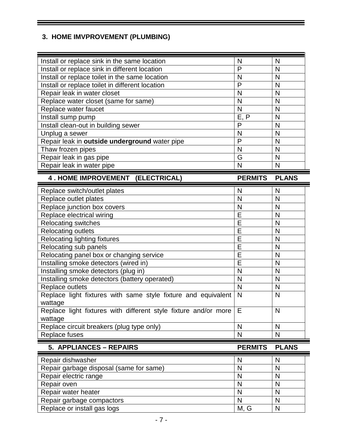#### **3. HOME IMVPROVEMENT (PLUMBING)**

| Install or replace sink in the same location                               | N              | N            |
|----------------------------------------------------------------------------|----------------|--------------|
| Install or replace sink in different location                              | P              | N            |
| Install or replace toilet in the same location                             | N              | N            |
| Install or replace toilet in different location                            | P              | N            |
| Repair leak in water closet                                                | N              | N            |
| Replace water closet (same for same)                                       | N              | N            |
| Replace water faucet                                                       | N              | N            |
| Install sump pump                                                          | E, P           | N            |
| Install clean-out in building sewer                                        | P              | N            |
| Unplug a sewer                                                             | N              | N            |
| Repair leak in outside underground water pipe                              | P              | N            |
| Thaw frozen pipes                                                          | N              | N            |
| Repair leak in gas pipe                                                    | G              | N            |
| Repair leak in water pipe                                                  | N              | N            |
| 4. HOME IMPROVEMENT (ELECTRICAL)                                           | <b>PERMITS</b> | <b>PLANS</b> |
| Replace switch/outlet plates                                               | N              | N            |
| Replace outlet plates                                                      | N              | N            |
| Replace junction box covers                                                | N              | N            |
| Replace electrical wiring                                                  | E              | N            |
|                                                                            |                |              |
| <b>Relocating switches</b>                                                 | E              | N            |
| <b>Relocating outlets</b>                                                  | E              | N            |
| <b>Relocating lighting fixtures</b>                                        | E              | N            |
| Relocating sub panels                                                      | E              | N            |
| Relocating panel box or changing service                                   | E              | N            |
| Installing smoke detectors (wired in)                                      | E              | N            |
| Installing smoke detectors (plug in)                                       | N              | N            |
| Installing smoke detectors (battery operated)                              | N              | N            |
| Replace outlets                                                            | N              | N            |
| Replace light fixtures with same style fixture and equivalent              | N              | N            |
| wattage                                                                    |                |              |
| Replace light fixtures with different style fixture and/or more<br>wattage | Е              | N            |
| Replace circuit breakers (plug type only)                                  | N              | N            |
| Replace fuses                                                              | N              | N            |
| 5. APPLIANCES - REPAIRS                                                    | <b>PERMITS</b> | <b>PLANS</b> |

Ξ

| Repair dishwasher                       |      | N |
|-----------------------------------------|------|---|
| Repair garbage disposal (same for same) |      |   |
| Repair electric range                   |      | N |
| Repair oven                             |      | N |
| Repair water heater                     |      |   |
| Repair garbage compactors               |      |   |
| Replace or install gas logs             | M, G |   |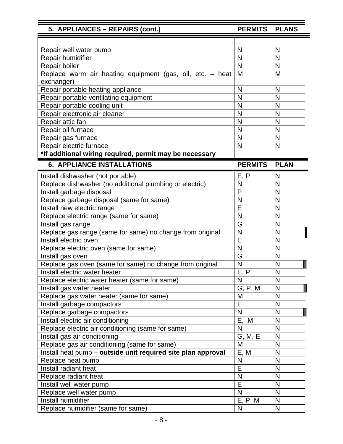| 5. APPLIANCES - REPAIRS (cont.)                              | PERMITS PLANS  |              |
|--------------------------------------------------------------|----------------|--------------|
|                                                              |                |              |
| Repair well water pump                                       | N              | N            |
| Repair humidifier                                            | N              | N            |
| Repair boiler                                                | N              | $\mathsf{N}$ |
| Replace warm air heating equipment (gas, oil, etc. - heat    | M              | M            |
| exchanger)                                                   |                |              |
| Repair portable heating appliance                            | N              | N            |
| Repair portable ventilating equipment                        | N              | N            |
| Repair portable cooling unit                                 | N              | N            |
| Repair electronic air cleaner                                | N              | N            |
| Repair attic fan                                             | N              | N            |
| Repair oil furnace                                           | N              | N            |
| Repair gas furnace                                           | N              | N            |
| Repair electric furnace                                      | N              | $\mathsf{N}$ |
| *If additional wiring required, permit may be necessary      |                |              |
| <b>6. APPLIANCE INSTALLATIONS</b>                            | <b>PERMITS</b> | <b>PLAN</b>  |
| Install dishwasher (not portable)                            | E, P           | N            |
| Replace dishwasher (no additional plumbing or electric)      | N              | N            |
| Install garbage disposal                                     | P              | N            |
| Replace garbage disposal (same for same)                     | N              | N            |
| Install new electric range                                   | E              | N            |
| Replace electric range (same for same)                       | N              | N            |
| Install gas range                                            | G              | N            |
| Replace gas range (same for same) no change from original    | N              | N            |
| Install electric oven                                        | E              | N            |
| Replace electric oven (same for same)                        | N              | N            |
| Install gas oven                                             | G              | N            |
| Replace gas oven (same for same) no change from original     | N              | N            |
| Install electric water heater                                | E, P           | N            |
| Replace electric water heater (same for same)                | N              | N            |
| Install gas water heater                                     | G, P, M        | $\mathsf{N}$ |
| Replace gas water heater (same for same)                     | M              | N            |
| Install garbage compactors                                   | E              | N            |
| Replace garbage compactors                                   | N              | N            |
| Install electric air conditioning                            | Ε,<br>M        | N            |
| Replace electric air conditioning (same for same)            | N              | N            |
| Install gas air conditioning                                 | G, M, E        | N            |
| Replace gas air conditioning (same for same)                 | M              | $\mathsf{N}$ |
| Install heat pump - outside unit required site plan approval | E, M           | N            |
| Replace heat pump                                            | N              | N            |
| Install radiant heat                                         | E              | N            |
| Replace radiant heat                                         | N              | N            |
| Install well water pump                                      | E              | N            |
| Replace well water pump                                      | N              | N            |
| Install humidifier                                           | E, P, M        | N            |
| Replace humidifier (same for same)                           | N              | $\mathsf{N}$ |